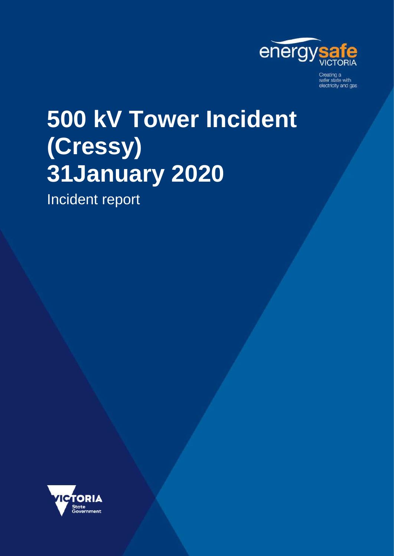

Creating a<br>safer state with electricity and gas

# **500 kV Tower Incident (Cressy) 31January 2020**

Incident report

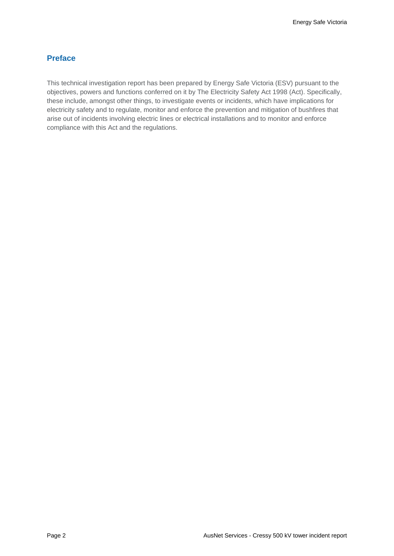#### **Preface**

This technical investigation report has been prepared by Energy Safe Victoria (ESV) pursuant to the objectives, powers and functions conferred on it by The Electricity Safety Act 1998 (Act). Specifically, these include, amongst other things, to investigate events or incidents, which have implications for electricity safety and to regulate, monitor and enforce the prevention and mitigation of bushfires that arise out of incidents involving electric lines or electrical installations and to monitor and enforce compliance with this Act and the regulations.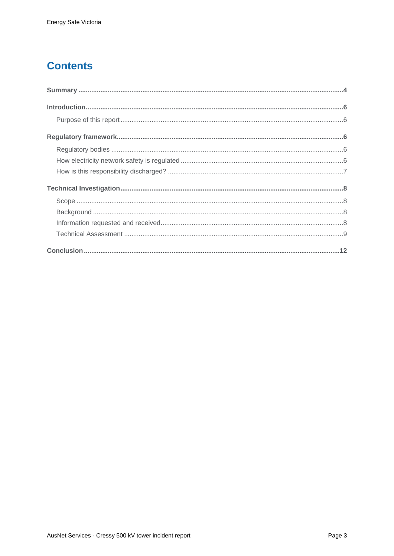## **Contents**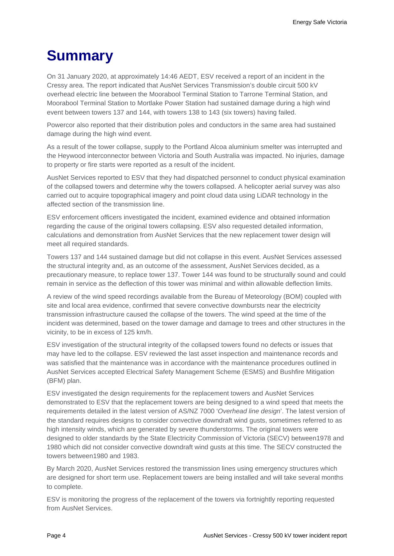## <span id="page-3-0"></span>**Summary**

On 31 January 2020, at approximately 14:46 AEDT, ESV received a report of an incident in the Cressy area. The report indicated that AusNet Services Transmission's double circuit 500 kV overhead electric line between the Moorabool Terminal Station to Tarrone Terminal Station, and Moorabool Terminal Station to Mortlake Power Station had sustained damage during a high wind event between towers 137 and 144, with towers 138 to 143 (six towers) having failed.

Powercor also reported that their distribution poles and conductors in the same area had sustained damage during the high wind event.

As a result of the tower collapse, supply to the Portland Alcoa aluminium smelter was interrupted and the Heywood interconnector between Victoria and South Australia was impacted. No injuries, damage to property or fire starts were reported as a result of the incident.

AusNet Services reported to ESV that they had dispatched personnel to conduct physical examination of the collapsed towers and determine why the towers collapsed. A helicopter aerial survey was also carried out to acquire topographical imagery and point cloud data using LiDAR technology in the affected section of the transmission line.

ESV enforcement officers investigated the incident, examined evidence and obtained information regarding the cause of the original towers collapsing. ESV also requested detailed information, calculations and demonstration from AusNet Services that the new replacement tower design will meet all required standards.

Towers 137 and 144 sustained damage but did not collapse in this event. AusNet Services assessed the structural integrity and, as an outcome of the assessment, AusNet Services decided, as a precautionary measure, to replace tower 137. Tower 144 was found to be structurally sound and could remain in service as the deflection of this tower was minimal and within allowable deflection limits.

A review of the wind speed recordings available from the Bureau of Meteorology (BOM) coupled with site and local area evidence, confirmed that severe convective downbursts near the electricity transmission infrastructure caused the collapse of the towers. The wind speed at the time of the incident was determined, based on the tower damage and damage to trees and other structures in the vicinity, to be in excess of 125 km/h.

ESV investigation of the structural integrity of the collapsed towers found no defects or issues that may have led to the collapse. ESV reviewed the last asset inspection and maintenance records and was satisfied that the maintenance was in accordance with the maintenance procedures outlined in AusNet Services accepted Electrical Safety Management Scheme (ESMS) and Bushfire Mitigation (BFM) plan.

ESV investigated the design requirements for the replacement towers and AusNet Services demonstrated to ESV that the replacement towers are being designed to a wind speed that meets the requirements detailed in the latest version of AS/NZ 7000 '*Overhead line design*'. The latest version of the standard requires designs to consider convective downdraft wind gusts, sometimes referred to as high intensity winds, which are generated by severe thunderstorms. The original towers were designed to older standards by the State Electricity Commission of Victoria (SECV) between1978 and 1980 which did not consider convective downdraft wind gusts at this time. The SECV constructed the towers between1980 and 1983.

By March 2020, AusNet Services restored the transmission lines using emergency structures which are designed for short term use. Replacement towers are being installed and will take several months to complete.

ESV is monitoring the progress of the replacement of the towers via fortnightly reporting requested from AusNet Services.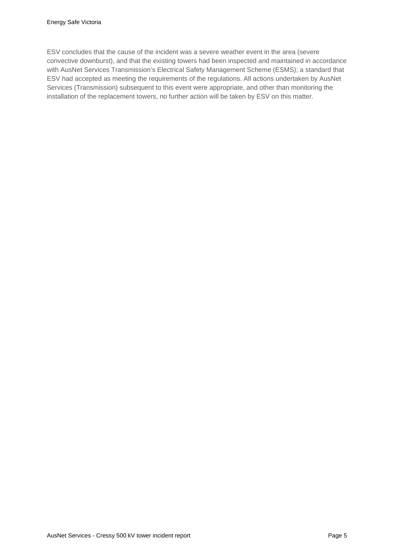ESV concludes that the cause of the incident was a severe weather event in the area (severe convective downburst), and that the existing towers had been inspected and maintained in accordance with AusNet Services Transmission's Electrical Safety Management Scheme (ESMS); a standard that ESV had accepted as meeting the requirements of the regulations. All actions undertaken by AusNet Services (Transmission) subsequent to this event were appropriate, and other than monitoring the installation of the replacement towers, no further action will be taken by ESV on this matter.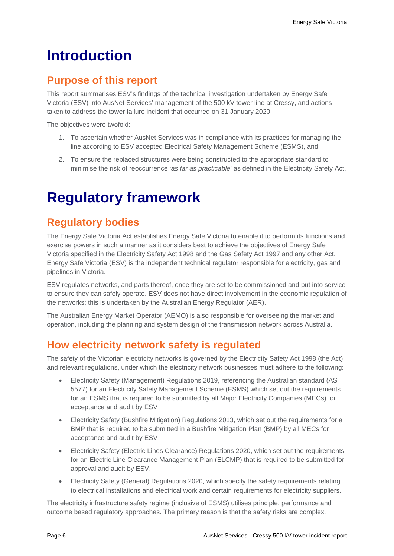## <span id="page-5-0"></span>**Introduction**

### <span id="page-5-1"></span>**Purpose of this report**

This report summarises ESV's findings of the technical investigation undertaken by Energy Safe Victoria (ESV) into AusNet Services' management of the 500 kV tower line at Cressy, and actions taken to address the tower failure incident that occurred on 31 January 2020.

The objectives were twofold:

- 1. To ascertain whether AusNet Services was in compliance with its practices for managing the line according to ESV accepted Electrical Safety Management Scheme (ESMS), and
- 2. To ensure the replaced structures were being constructed to the appropriate standard to minimise the risk of reoccurrence '*as far as practicable*' as defined in the Electricity Safety Act.

## <span id="page-5-2"></span>**Regulatory framework**

### <span id="page-5-3"></span>**Regulatory bodies**

The Energy Safe Victoria Act establishes Energy Safe Victoria to enable it to perform its functions and exercise powers in such a manner as it considers best to achieve the objectives of Energy Safe Victoria specified in the Electricity Safety Act 1998 and the Gas Safety Act 1997 and any other Act. Energy Safe Victoria (ESV) is the independent technical regulator responsible for electricity, gas and pipelines in Victoria.

ESV regulates networks, and parts thereof, once they are set to be commissioned and put into service to ensure they can safely operate. ESV does not have direct involvement in the economic regulation of the networks; this is undertaken by the Australian Energy Regulator (AER).

The Australian Energy Market Operator (AEMO) is also responsible for overseeing the market and operation, including the planning and system design of the transmission network across Australia.

### <span id="page-5-4"></span>**How electricity network safety is regulated**

The safety of the Victorian electricity networks is governed by the Electricity Safety Act 1998 (the Act) and relevant regulations, under which the electricity network businesses must adhere to the following:

- Electricity Safety (Management) Regulations 2019, referencing the Australian standard (AS 5577) for an Electricity Safety Management Scheme (ESMS) which set out the requirements for an ESMS that is required to be submitted by all Major Electricity Companies (MECs) for acceptance and audit by ESV
- Electricity Safety (Bushfire Mitigation) Regulations 2013, which set out the requirements for a BMP that is required to be submitted in a Bushfire Mitigation Plan (BMP) by all MECs for acceptance and audit by ESV
- Electricity Safety (Electric Lines Clearance) Regulations 2020, which set out the requirements for an Electric Line Clearance Management Plan (ELCMP) that is required to be submitted for approval and audit by ESV.
- Electricity Safety (General) Regulations 2020, which specify the safety requirements relating to electrical installations and electrical work and certain requirements for electricity suppliers.

The electricity infrastructure safety regime (inclusive of ESMS) utilises principle, performance and outcome based regulatory approaches. The primary reason is that the safety risks are complex,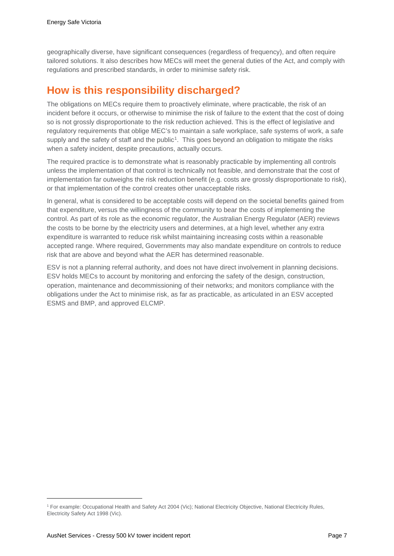geographically diverse, have significant consequences (regardless of frequency), and often require tailored solutions. It also describes how MECs will meet the general duties of the Act, and comply with regulations and prescribed standards, in order to minimise safety risk.

#### <span id="page-6-0"></span>**How is this responsibility discharged?**

The obligations on MECs require them to proactively eliminate, where practicable, the risk of an incident before it occurs, or otherwise to minimise the risk of failure to the extent that the cost of doing so is not grossly disproportionate to the risk reduction achieved. This is the effect of legislative and regulatory requirements that oblige MEC's to maintain a safe workplace, safe systems of work, a safe supply and the safety of staff and the public<sup>[1](#page-6-1)</sup>. This goes beyond an obligation to mitigate the risks when a safety incident, despite precautions, actually occurs.

The required practice is to demonstrate what is reasonably practicable by implementing all controls unless the implementation of that control is technically not feasible, and demonstrate that the cost of implementation far outweighs the risk reduction benefit (e.g. costs are grossly disproportionate to risk), or that implementation of the control creates other unacceptable risks.

In general, what is considered to be acceptable costs will depend on the societal benefits gained from that expenditure, versus the willingness of the community to bear the costs of implementing the control. As part of its role as the economic regulator, the Australian Energy Regulator (AER) reviews the costs to be borne by the electricity users and determines, at a high level, whether any extra expenditure is warranted to reduce risk whilst maintaining increasing costs within a reasonable accepted range. Where required, Governments may also mandate expenditure on controls to reduce risk that are above and beyond what the AER has determined reasonable.

ESV is not a planning referral authority, and does not have direct involvement in planning decisions. ESV holds MECs to account by monitoring and enforcing the safety of the design, construction, operation, maintenance and decommissioning of their networks; and monitors compliance with the obligations under the Act to minimise risk, as far as practicable, as articulated in an ESV accepted ESMS and BMP, and approved ELCMP.

j

<span id="page-6-1"></span><sup>1</sup> For example: Occupational Health and Safety Act 2004 (Vic); National Electricity Objective, National Electricity Rules, Electricity Safety Act 1998 (Vic).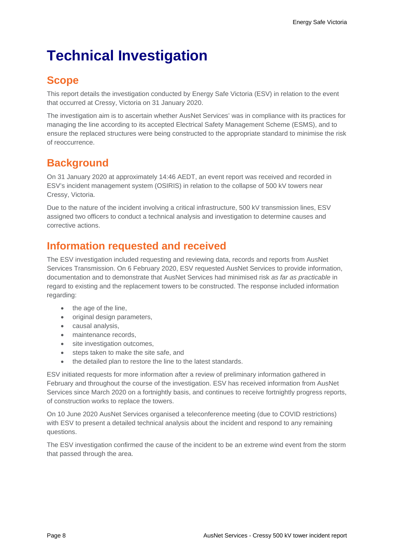## <span id="page-7-0"></span>**Technical Investigation**

### <span id="page-7-1"></span>**Scope**

This report details the investigation conducted by Energy Safe Victoria (ESV) in relation to the event that occurred at Cressy, Victoria on 31 January 2020.

The investigation aim is to ascertain whether AusNet Services' was in compliance with its practices for managing the line according to its accepted Electrical Safety Management Scheme (ESMS), and to ensure the replaced structures were being constructed to the appropriate standard to minimise the risk of reoccurrence.

### <span id="page-7-2"></span>**Background**

On 31 January 2020 at approximately 14:46 AEDT, an event report was received and recorded in ESV's incident management system (OSIRIS) in relation to the collapse of 500 kV towers near Cressy, Victoria.

Due to the nature of the incident involving a critical infrastructure, 500 kV transmission lines, ESV assigned two officers to conduct a technical analysis and investigation to determine causes and corrective actions.

### <span id="page-7-3"></span>**Information requested and received**

The ESV investigation included requesting and reviewing data, records and reports from AusNet Services Transmission. On 6 February 2020, ESV requested AusNet Services to provide information, documentation and to demonstrate that AusNet Services had minimised risk *as far as practicable* in regard to existing and the replacement towers to be constructed. The response included information regarding:

- the age of the line,
- original design parameters,
- causal analysis,
- maintenance records,
- site investigation outcomes,
- steps taken to make the site safe, and
- the detailed plan to restore the line to the latest standards.

ESV initiated requests for more information after a review of preliminary information gathered in February and throughout the course of the investigation. ESV has received information from AusNet Services since March 2020 on a fortnightly basis, and continues to receive fortnightly progress reports, of construction works to replace the towers.

On 10 June 2020 AusNet Services organised a teleconference meeting (due to COVID restrictions) with ESV to present a detailed technical analysis about the incident and respond to any remaining questions.

The ESV investigation confirmed the cause of the incident to be an extreme wind event from the storm that passed through the area.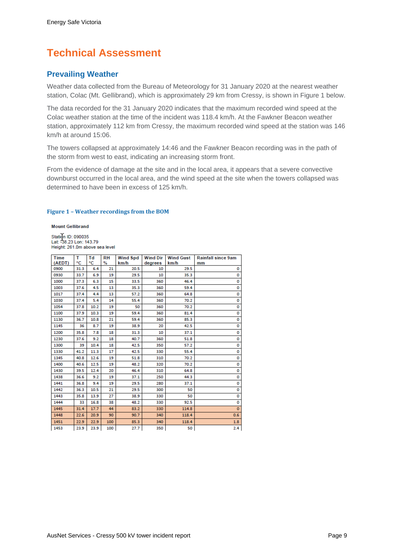## <span id="page-8-0"></span>**Technical Assessment**

#### **Prevailing Weather**

Weather data collected from the Bureau of Meteorology for 31 January 2020 at the nearest weather station, Colac (Mt. Gellibrand), which is approximately 29 km from Cressy, is shown in [Figure 1](#page-8-1) below.

The data recorded for the 31 January 2020 indicates that the maximum recorded wind speed at the Colac weather station at the time of the incident was 118.4 km/h. At the Fawkner Beacon weather station, approximately 112 km from Cressy, the maximum recorded wind speed at the station was 146 km/h at around 15:06.

The towers collapsed at approximately 14:46 and the Fawkner Beacon recording was in the path of the storm from west to east, indicating an increasing storm front.

From the evidence of damage at the site and in the local area, it appears that a severe convective downburst occurred in the local area, and the wind speed at the site when the towers collapsed was determined to have been in excess of 125 km/h.

#### <span id="page-8-1"></span>**Figure 1 – Weather recordings from the BOM**

**Mount Gellibrand** 

Station ID: 090035<br>Lat: -38.23 Lon: 143.79<br>Height: 261.0m above sea level

| Time   | т    | Τd   | <b>RH</b> | <b>Wind Spd</b> | <b>Wind Dir</b> | <b>Wind Gust</b> | <b>Rainfall since 9am</b> |
|--------|------|------|-----------|-----------------|-----------------|------------------|---------------------------|
| (AEDT) | ۰c   | ۰c   | $\%$      | km/h            | degrees         | km/h             | mm                        |
| 0900   | 31.3 | 6.4  | 21        | 20.5            | 10              | 29.5             | 0                         |
| 0930   | 33.7 | 6.9  | 19        | 29.5            | 10              | 35.3             | 0                         |
| 1000   | 37.3 | 6.3  | 15        | 33.5            | 360             | 46.4             | 0                         |
| 1003   | 37.6 | 4.5  | 13        | 35.3            | 360             | 59.4             | 0                         |
| 1017   | 37.4 | 4.4  | 13        | 57.2            | 360             | 64.8             | 0                         |
| 1030   | 37.4 | 5.4  | 14        | 55.4            | 360             | 70.2             | O                         |
| 1054   | 37.8 | 10.2 | 19        | 50              | 360             | 70.2             | 0                         |
| 1100   | 37.9 | 10.3 | 19        | 59.4            | 360             | 81.4             | 0                         |
| 1130   | 36.7 | 10.8 | 21        | 59.4            | 360             | 85.3             | 0                         |
| 1145   | 36   | 8.7  | 19        | 38.9            | 20              | 42.5             | 0                         |
| 1200   | 35.8 | 7.8  | 18        | 31.3            | 10              | 37.1             | 0                         |
| 1230   | 37.6 | 9.2  | 18        | 40.7            | 360             | 51.8             | 0                         |
| 1300   | 39   | 10.4 | 18        | 42.5            | 350             | 57.2             | 0                         |
| 1330   | 41.2 | 11.3 | 17        | 42.5            | 330             | 55.4             | 0                         |
| 1345   | 40.8 | 12.6 | 19        | 51.8            | 310             | 70.2             | 0                         |
| 1400   | 40.6 | 12.5 | 19        | 48.2            | 320             | 70.2             | 0                         |
| 1430   | 39.5 | 12.4 | 20        | 46.4            | 310             | 64.8             | 0                         |
| 1438   | 36.6 | 9.2  | 19        | 37.1            | 250             | 44.3             | 0                         |
| 1441   | 36.8 | 9.4  | 19        | 29.5            | 280             | 37.1             | 0                         |
| 1442   | 36.3 | 10.5 | 21        | 29.5            | 300             | 50               | o                         |
| 1443   | 35.8 | 13.9 | 27        | 38.9            | 330             | 50               | 0                         |
| 1444   | 33   | 16.8 | 38        | 48.2            | 330             | 92.5             | 0                         |
| 1445   | 31.4 | 17.7 | 44        | 83.2            | 330             | 114.8            | $\mathbf{O}$              |
| 1448   | 22.6 | 20.9 | 90        | 90.7            | 340             | 118.4            | 0.6                       |
| 1451   | 22.9 | 22.9 | 100       | 85.3            | 340             | 118.4            | 1.8                       |
| 1453   | 23.9 | 23.9 | 100       | 27.7            | 350             | 50               | 2.4                       |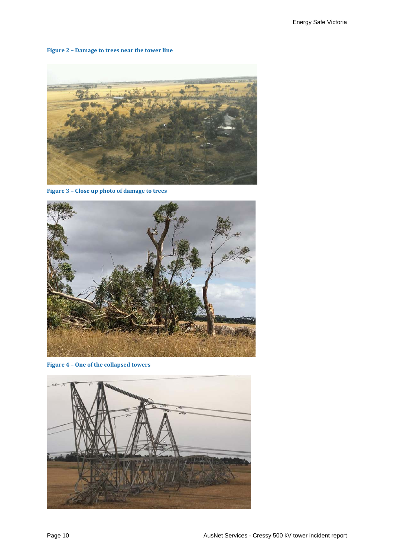#### **Figure 2 – Damage to trees near the tower line**



**Figure 3 – Close up photo of damage to trees**



**Figure 4 – One of the collapsed towers**

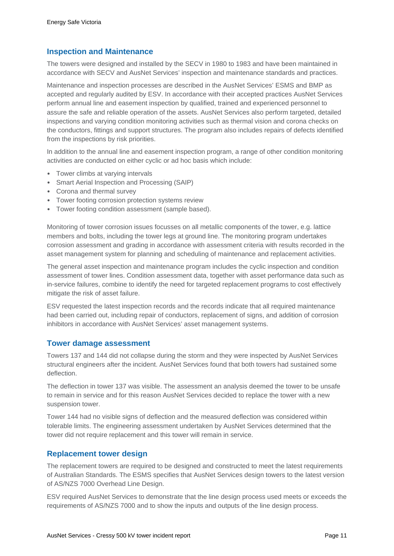#### **Inspection and Maintenance**

The towers were designed and installed by the SECV in 1980 to 1983 and have been maintained in accordance with SECV and AusNet Services' inspection and maintenance standards and practices.

Maintenance and inspection processes are described in the AusNet Services' ESMS and BMP as accepted and regularly audited by ESV. In accordance with their accepted practices AusNet Services perform annual line and easement inspection by qualified, trained and experienced personnel to assure the safe and reliable operation of the assets. AusNet Services also perform targeted, detailed inspections and varying condition monitoring activities such as thermal vision and corona checks on the conductors, fittings and support structures. The program also includes repairs of defects identified from the inspections by risk priorities.

In addition to the annual line and easement inspection program, a range of other condition monitoring activities are conducted on either cyclic or ad hoc basis which include:

- Tower climbs at varying intervals
- Smart Aerial Inspection and Processing (SAIP)
- Corona and thermal survey
- Tower footing corrosion protection systems review
- Tower footing condition assessment (sample based).

Monitoring of tower corrosion issues focusses on all metallic components of the tower, e.g. lattice members and bolts, including the tower legs at ground line. The monitoring program undertakes corrosion assessment and grading in accordance with assessment criteria with results recorded in the asset management system for planning and scheduling of maintenance and replacement activities.

The general asset inspection and maintenance program includes the cyclic inspection and condition assessment of tower lines. Condition assessment data, together with asset performance data such as in-service failures, combine to identify the need for targeted replacement programs to cost effectively mitigate the risk of asset failure.

ESV requested the latest inspection records and the records indicate that all required maintenance had been carried out, including repair of conductors, replacement of signs, and addition of corrosion inhibitors in accordance with AusNet Services' asset management systems.

#### **Tower damage assessment**

Towers 137 and 144 did not collapse during the storm and they were inspected by AusNet Services structural engineers after the incident. AusNet Services found that both towers had sustained some deflection.

The deflection in tower 137 was visible. The assessment an analysis deemed the tower to be unsafe to remain in service and for this reason AusNet Services decided to replace the tower with a new suspension tower.

Tower 144 had no visible signs of deflection and the measured deflection was considered within tolerable limits. The engineering assessment undertaken by AusNet Services determined that the tower did not require replacement and this tower will remain in service.

#### **Replacement tower design**

The replacement towers are required to be designed and constructed to meet the latest requirements of Australian Standards. The ESMS specifies that AusNet Services design towers to the latest version of AS/NZS 7000 Overhead Line Design.

ESV required AusNet Services to demonstrate that the line design process used meets or exceeds the requirements of AS/NZS 7000 and to show the inputs and outputs of the line design process.